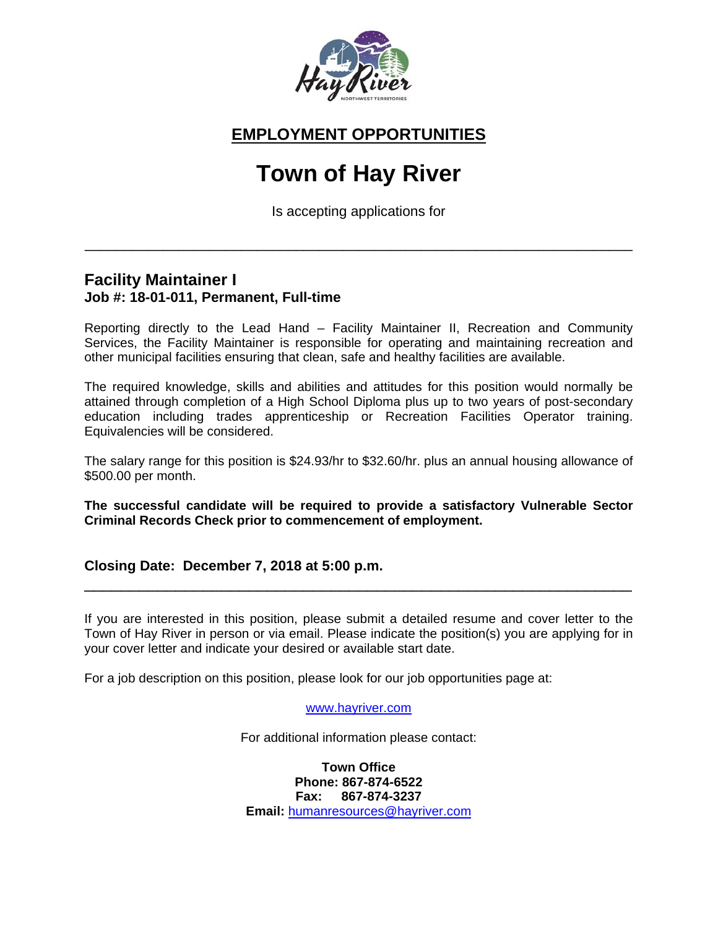

## **EMPLOYMENT OPPORTUNITIES**

# **Town of Hay River**

Is accepting applications for

\_\_\_\_\_\_\_\_\_\_\_\_\_\_\_\_\_\_\_\_\_\_\_\_\_\_\_\_\_\_\_\_\_\_\_\_\_\_\_\_\_\_\_\_\_\_\_\_\_\_\_\_\_\_\_\_\_\_\_\_\_\_\_\_\_\_\_\_\_\_

#### **Facility Maintainer I Job #: 18-01-011, Permanent, Full-time**

Reporting directly to the Lead Hand – Facility Maintainer II, Recreation and Community Services, the Facility Maintainer is responsible for operating and maintaining recreation and other municipal facilities ensuring that clean, safe and healthy facilities are available.

The required knowledge, skills and abilities and attitudes for this position would normally be attained through completion of a High School Diploma plus up to two years of post-secondary education including trades apprenticeship or Recreation Facilities Operator training. Equivalencies will be considered.

The salary range for this position is \$24.93/hr to \$32.60/hr. plus an annual housing allowance of \$500.00 per month.

**The successful candidate will be required to provide a satisfactory Vulnerable Sector Criminal Records Check prior to commencement of employment.**

#### **Closing Date: December 7, 2018 at 5:00 p.m.**

If you are interested in this position, please submit a detailed resume and cover letter to the Town of Hay River in person or via email. Please indicate the position(s) you are applying for in your cover letter and indicate your desired or available start date.

\_\_\_\_\_\_\_\_\_\_\_\_\_\_\_\_\_\_\_\_\_\_\_\_\_\_\_\_\_\_\_\_\_\_\_\_\_\_\_\_\_\_\_\_\_\_\_\_\_\_\_\_\_\_\_\_\_\_\_\_

For a job description on this position, please look for our job opportunities page at:

www.hayriver.com

For additional information please contact:

**Town Office Phone: 867-874-6522 Fax: 867-874-3237 Email:** humanresources@hayriver.com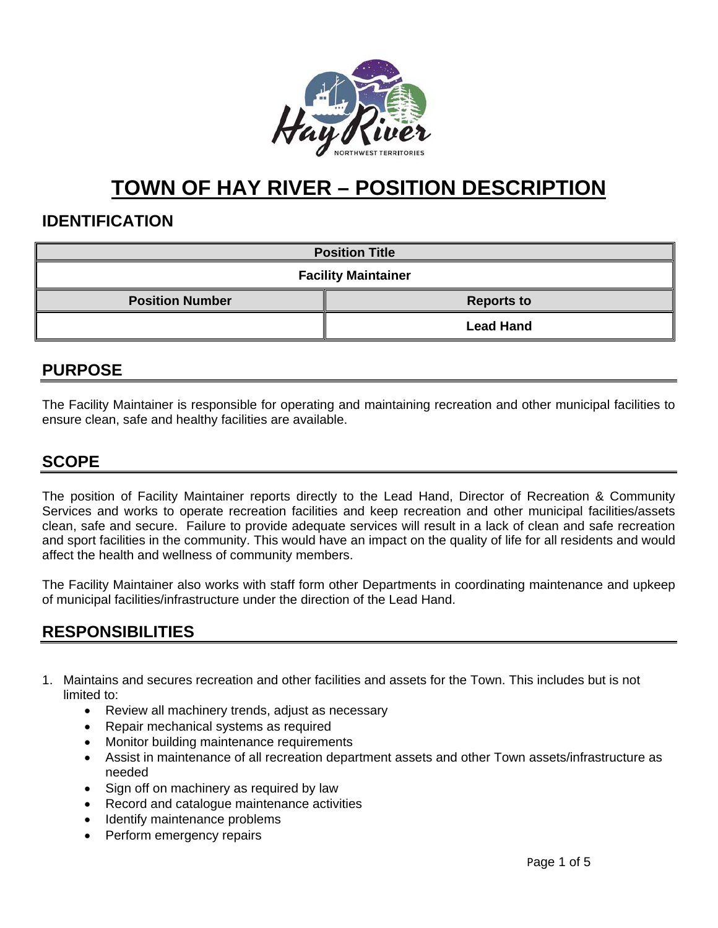

## **TOWN OF HAY RIVER – POSITION DESCRIPTION**

### **IDENTIFICATION**

| <b>Position Title</b>      |                   |  |
|----------------------------|-------------------|--|
| <b>Facility Maintainer</b> |                   |  |
| <b>Position Number</b>     | <b>Reports to</b> |  |
|                            | <b>Lead Hand</b>  |  |

## **PURPOSE**

The Facility Maintainer is responsible for operating and maintaining recreation and other municipal facilities to ensure clean, safe and healthy facilities are available.

### **SCOPE**

The position of Facility Maintainer reports directly to the Lead Hand, Director of Recreation & Community Services and works to operate recreation facilities and keep recreation and other municipal facilities/assets clean, safe and secure. Failure to provide adequate services will result in a lack of clean and safe recreation and sport facilities in the community. This would have an impact on the quality of life for all residents and would affect the health and wellness of community members.

The Facility Maintainer also works with staff form other Departments in coordinating maintenance and upkeep of municipal facilities/infrastructure under the direction of the Lead Hand.

## **RESPONSIBILITIES**

- 1. Maintains and secures recreation and other facilities and assets for the Town. This includes but is not limited to:
	- Review all machinery trends, adjust as necessary
	- Repair mechanical systems as required
	- Monitor building maintenance requirements
	- Assist in maintenance of all recreation department assets and other Town assets/infrastructure as needed
	- Sign off on machinery as required by law
	- Record and catalogue maintenance activities
	- Identify maintenance problems
	- Perform emergency repairs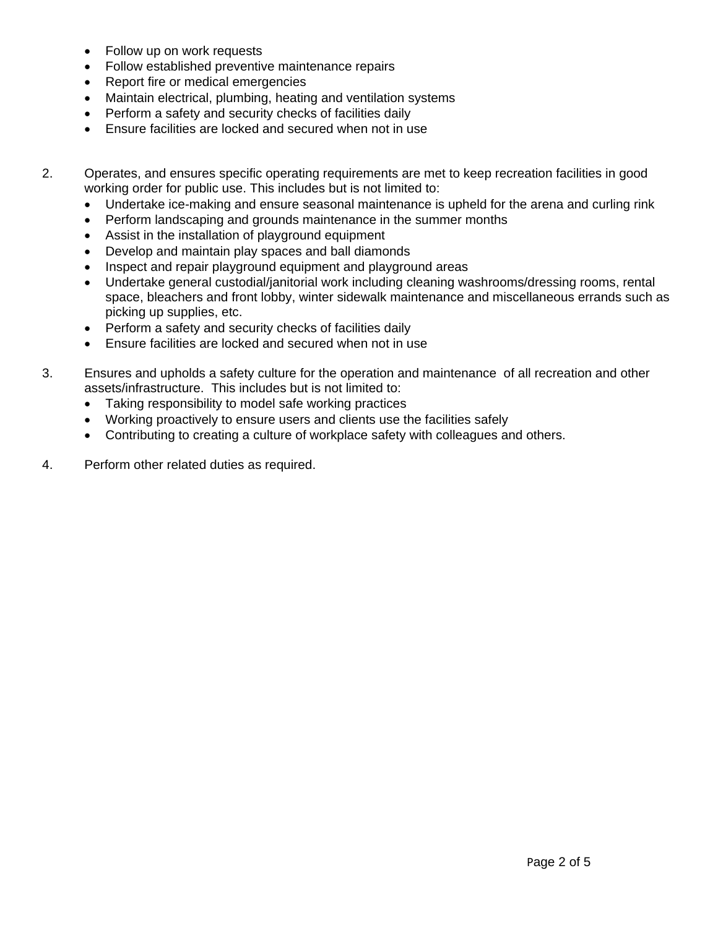- Follow up on work requests
- Follow established preventive maintenance repairs
- Report fire or medical emergencies
- Maintain electrical, plumbing, heating and ventilation systems
- Perform a safety and security checks of facilities daily
- Ensure facilities are locked and secured when not in use
- 2. Operates, and ensures specific operating requirements are met to keep recreation facilities in good working order for public use. This includes but is not limited to:
	- Undertake ice-making and ensure seasonal maintenance is upheld for the arena and curling rink
	- Perform landscaping and grounds maintenance in the summer months
	- Assist in the installation of playground equipment
	- Develop and maintain play spaces and ball diamonds
	- Inspect and repair playground equipment and playground areas
	- Undertake general custodial/janitorial work including cleaning washrooms/dressing rooms, rental space, bleachers and front lobby, winter sidewalk maintenance and miscellaneous errands such as picking up supplies, etc.
	- Perform a safety and security checks of facilities daily
	- Ensure facilities are locked and secured when not in use
- 3. Ensures and upholds a safety culture for the operation and maintenance of all recreation and other assets/infrastructure. This includes but is not limited to:
	- Taking responsibility to model safe working practices
	- Working proactively to ensure users and clients use the facilities safely
	- Contributing to creating a culture of workplace safety with colleagues and others.
- 4. Perform other related duties as required.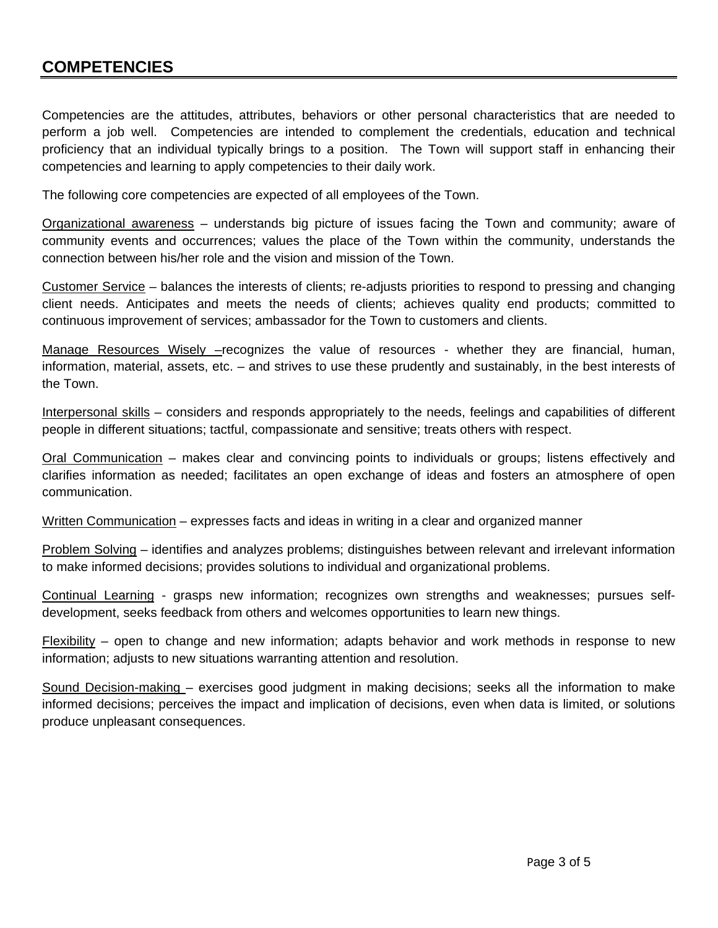### **COMPETENCIES**

Competencies are the attitudes, attributes, behaviors or other personal characteristics that are needed to perform a job well. Competencies are intended to complement the credentials, education and technical proficiency that an individual typically brings to a position. The Town will support staff in enhancing their competencies and learning to apply competencies to their daily work.

The following core competencies are expected of all employees of the Town.

Organizational awareness – understands big picture of issues facing the Town and community; aware of community events and occurrences; values the place of the Town within the community, understands the connection between his/her role and the vision and mission of the Town.

Customer Service – balances the interests of clients; re-adjusts priorities to respond to pressing and changing client needs. Anticipates and meets the needs of clients; achieves quality end products; committed to continuous improvement of services; ambassador for the Town to customers and clients.

Manage Resources Wisely –recognizes the value of resources - whether they are financial, human, information, material, assets, etc. – and strives to use these prudently and sustainably, in the best interests of the Town.

Interpersonal skills – considers and responds appropriately to the needs, feelings and capabilities of different people in different situations; tactful, compassionate and sensitive; treats others with respect.

Oral Communication – makes clear and convincing points to individuals or groups; listens effectively and clarifies information as needed; facilitates an open exchange of ideas and fosters an atmosphere of open communication.

Written Communication – expresses facts and ideas in writing in a clear and organized manner

Problem Solving – identifies and analyzes problems; distinguishes between relevant and irrelevant information to make informed decisions; provides solutions to individual and organizational problems.

Continual Learning - grasps new information; recognizes own strengths and weaknesses; pursues selfdevelopment, seeks feedback from others and welcomes opportunities to learn new things.

 $F$ lexibility – open to change and new information; adapts behavior and work methods in response to new information; adjusts to new situations warranting attention and resolution.

Sound Decision-making – exercises good judgment in making decisions; seeks all the information to make informed decisions; perceives the impact and implication of decisions, even when data is limited, or solutions produce unpleasant consequences.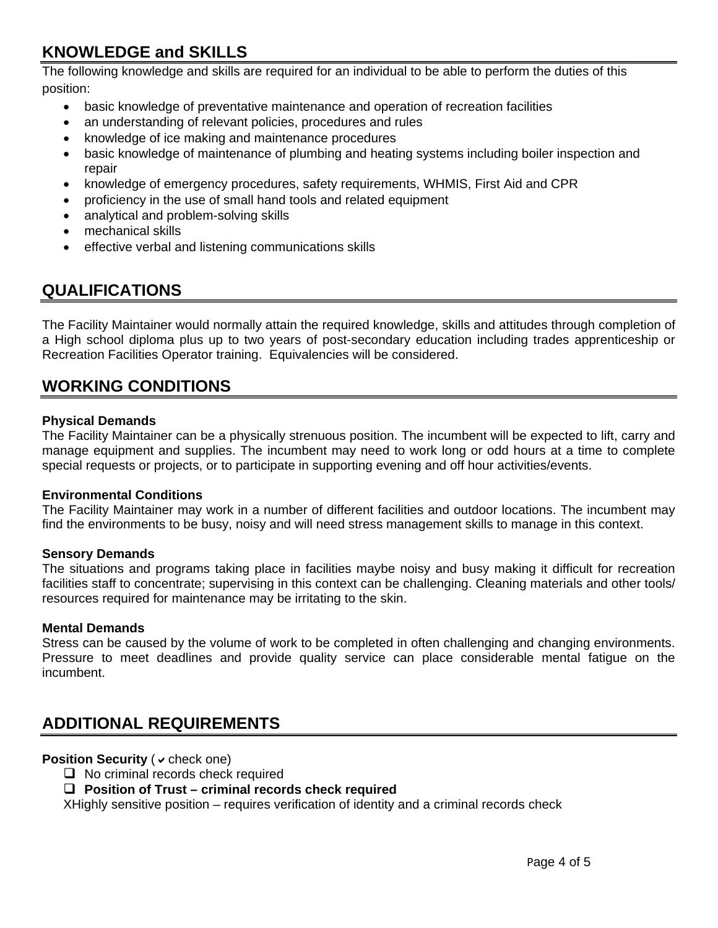## **KNOWLEDGE and SKILLS**

The following knowledge and skills are required for an individual to be able to perform the duties of this position:

- basic knowledge of preventative maintenance and operation of recreation facilities
- an understanding of relevant policies, procedures and rules
- knowledge of ice making and maintenance procedures
- basic knowledge of maintenance of plumbing and heating systems including boiler inspection and repair
- knowledge of emergency procedures, safety requirements, WHMIS, First Aid and CPR
- proficiency in the use of small hand tools and related equipment
- analytical and problem-solving skills
- mechanical skills
- effective verbal and listening communications skills

## **QUALIFICATIONS**

The Facility Maintainer would normally attain the required knowledge, skills and attitudes through completion of a High school diploma plus up to two years of post-secondary education including trades apprenticeship or Recreation Facilities Operator training. Equivalencies will be considered.

### **WORKING CONDITIONS**

#### **Physical Demands**

The Facility Maintainer can be a physically strenuous position. The incumbent will be expected to lift, carry and manage equipment and supplies. The incumbent may need to work long or odd hours at a time to complete special requests or projects, or to participate in supporting evening and off hour activities/events.

#### **Environmental Conditions**

The Facility Maintainer may work in a number of different facilities and outdoor locations. The incumbent may find the environments to be busy, noisy and will need stress management skills to manage in this context.

#### **Sensory Demands**

The situations and programs taking place in facilities maybe noisy and busy making it difficult for recreation facilities staff to concentrate; supervising in this context can be challenging. Cleaning materials and other tools/ resources required for maintenance may be irritating to the skin.

#### **Mental Demands**

Stress can be caused by the volume of work to be completed in often challenging and changing environments. Pressure to meet deadlines and provide quality service can place considerable mental fatigue on the incumbent.

## **ADDITIONAL REQUIREMENTS**

#### **Position Security ( v check one)**

 $\Box$  No criminal records check required

#### **Position of Trust – criminal records check required**

XHighly sensitive position – requires verification of identity and a criminal records check